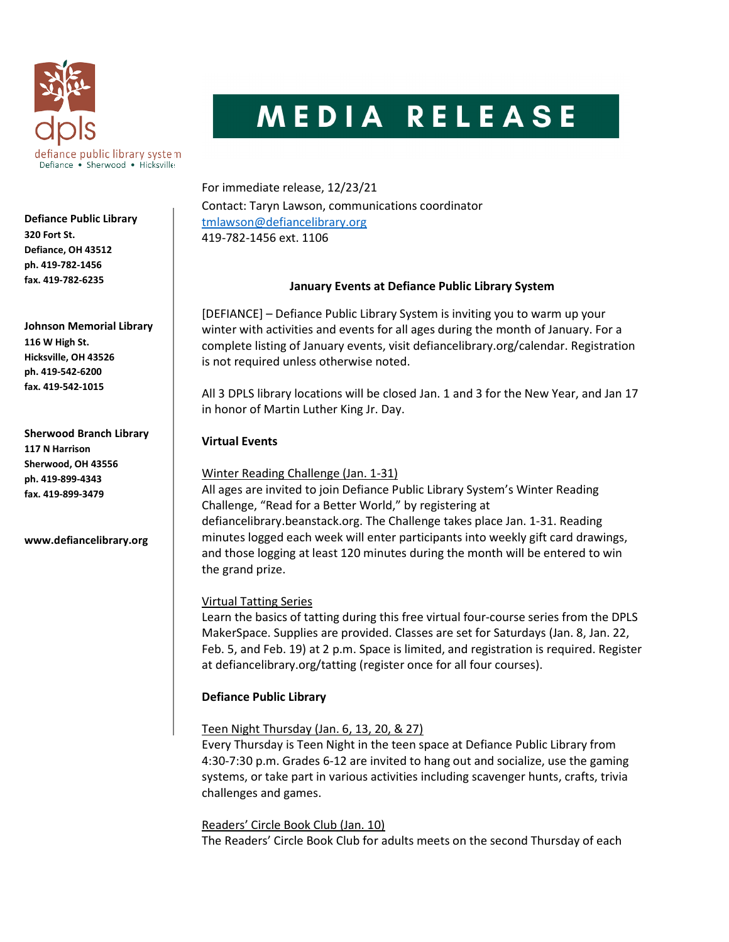

# MEDIA RELEASE

For immediate release, 12/23/21 Contact: Taryn Lawson, communications coordinator tmlawson@defiancelibrary.org 419-782-1456 ext. 1106

# January Events at Defiance Public Library System

[DEFIANCE] – Defiance Public Library System is inviting you to warm up your winter with activities and events for all ages during the month of January. For a complete listing of January events, visit defiancelibrary.org/calendar. Registration is not required unless otherwise noted.

All 3 DPLS library locations will be closed Jan. 1 and 3 for the New Year, and Jan 17 in honor of Martin Luther King Jr. Day.

# Virtual Events

Winter Reading Challenge (Jan. 1-31)

All ages are invited to join Defiance Public Library System's Winter Reading Challenge, "Read for a Better World," by registering at defiancelibrary.beanstack.org. The Challenge takes place Jan. 1-31. Reading minutes logged each week will enter participants into weekly gift card drawings, and those logging at least 120 minutes during the month will be entered to win the grand prize.

# Virtual Tatting Series

Learn the basics of tatting during this free virtual four-course series from the DPLS MakerSpace. Supplies are provided. Classes are set for Saturdays (Jan. 8, Jan. 22, Feb. 5, and Feb. 19) at 2 p.m. Space is limited, and registration is required. Register at defiancelibrary.org/tatting (register once for all four courses).

# Defiance Public Library

# Teen Night Thursday (Jan. 6, 13, 20, & 27)

Every Thursday is Teen Night in the teen space at Defiance Public Library from 4:30-7:30 p.m. Grades 6-12 are invited to hang out and socialize, use the gaming systems, or take part in various activities including scavenger hunts, crafts, trivia challenges and games.

Readers' Circle Book Club (Jan. 10)

The Readers' Circle Book Club for adults meets on the second Thursday of each

Defiance Public Library 320 Fort St. Defiance, OH 43512 ph. 419-782-1456 fax. 419-782-6235

Johnson Memorial Library 116 W High St. Hicksville, OH 43526 ph. 419-542-6200 fax. 419-542-1015

Sherwood Branch Library 117 N Harrison Sherwood, OH 43556 ph. 419-899-4343 fax. 419-899-3479

www.defiancelibrary.org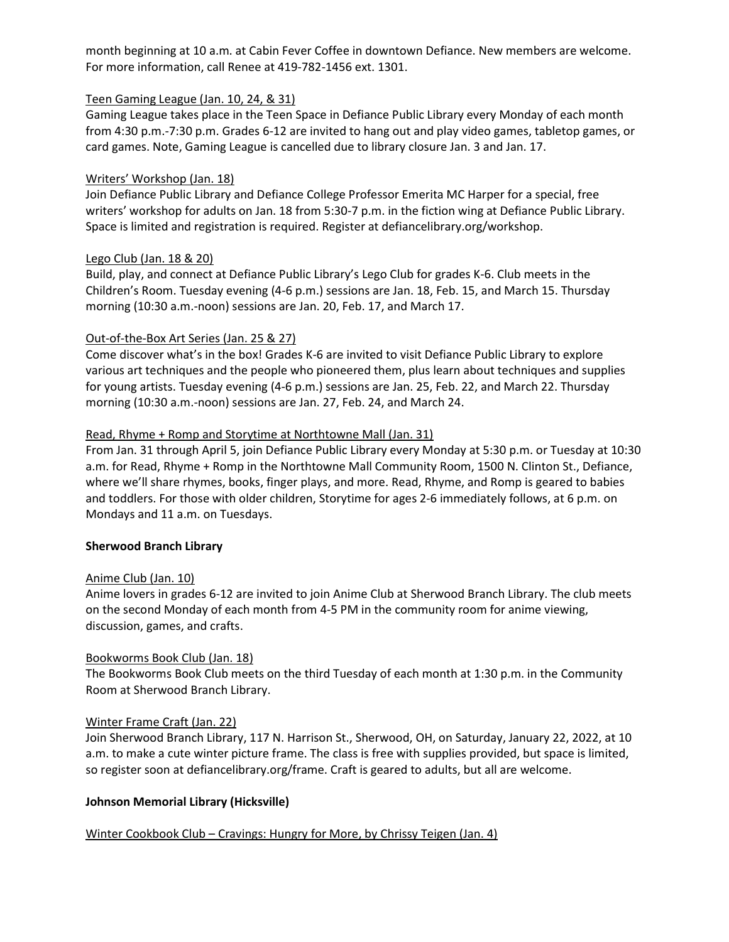month beginning at 10 a.m. at Cabin Fever Coffee in downtown Defiance. New members are welcome. For more information, call Renee at 419-782-1456 ext. 1301.

# Teen Gaming League (Jan. 10, 24, & 31)

Gaming League takes place in the Teen Space in Defiance Public Library every Monday of each month from 4:30 p.m.-7:30 p.m. Grades 6-12 are invited to hang out and play video games, tabletop games, or card games. Note, Gaming League is cancelled due to library closure Jan. 3 and Jan. 17.

# Writers' Workshop (Jan. 18)

Join Defiance Public Library and Defiance College Professor Emerita MC Harper for a special, free writers' workshop for adults on Jan. 18 from 5:30-7 p.m. in the fiction wing at Defiance Public Library. Space is limited and registration is required. Register at defiancelibrary.org/workshop.

## Lego Club (Jan. 18 & 20)

Build, play, and connect at Defiance Public Library's Lego Club for grades K-6. Club meets in the Children's Room. Tuesday evening (4-6 p.m.) sessions are Jan. 18, Feb. 15, and March 15. Thursday morning (10:30 a.m.-noon) sessions are Jan. 20, Feb. 17, and March 17.

## Out-of-the-Box Art Series (Jan. 25 & 27)

Come discover what's in the box! Grades K-6 are invited to visit Defiance Public Library to explore various art techniques and the people who pioneered them, plus learn about techniques and supplies for young artists. Tuesday evening (4-6 p.m.) sessions are Jan. 25, Feb. 22, and March 22. Thursday morning (10:30 a.m.-noon) sessions are Jan. 27, Feb. 24, and March 24.

## Read, Rhyme + Romp and Storytime at Northtowne Mall (Jan. 31)

From Jan. 31 through April 5, join Defiance Public Library every Monday at 5:30 p.m. or Tuesday at 10:30 a.m. for Read, Rhyme + Romp in the Northtowne Mall Community Room, 1500 N. Clinton St., Defiance, where we'll share rhymes, books, finger plays, and more. Read, Rhyme, and Romp is geared to babies and toddlers. For those with older children, Storytime for ages 2-6 immediately follows, at 6 p.m. on Mondays and 11 a.m. on Tuesdays.

#### Sherwood Branch Library

#### Anime Club (Jan. 10)

Anime lovers in grades 6-12 are invited to join Anime Club at Sherwood Branch Library. The club meets on the second Monday of each month from 4-5 PM in the community room for anime viewing, discussion, games, and crafts.

#### Bookworms Book Club (Jan. 18)

The Bookworms Book Club meets on the third Tuesday of each month at 1:30 p.m. in the Community Room at Sherwood Branch Library.

#### Winter Frame Craft (Jan. 22)

Join Sherwood Branch Library, 117 N. Harrison St., Sherwood, OH, on Saturday, January 22, 2022, at 10 a.m. to make a cute winter picture frame. The class is free with supplies provided, but space is limited, so register soon at defiancelibrary.org/frame. Craft is geared to adults, but all are welcome.

# Johnson Memorial Library (Hicksville)

# Winter Cookbook Club – Cravings: Hungry for More, by Chrissy Teigen (Jan. 4)